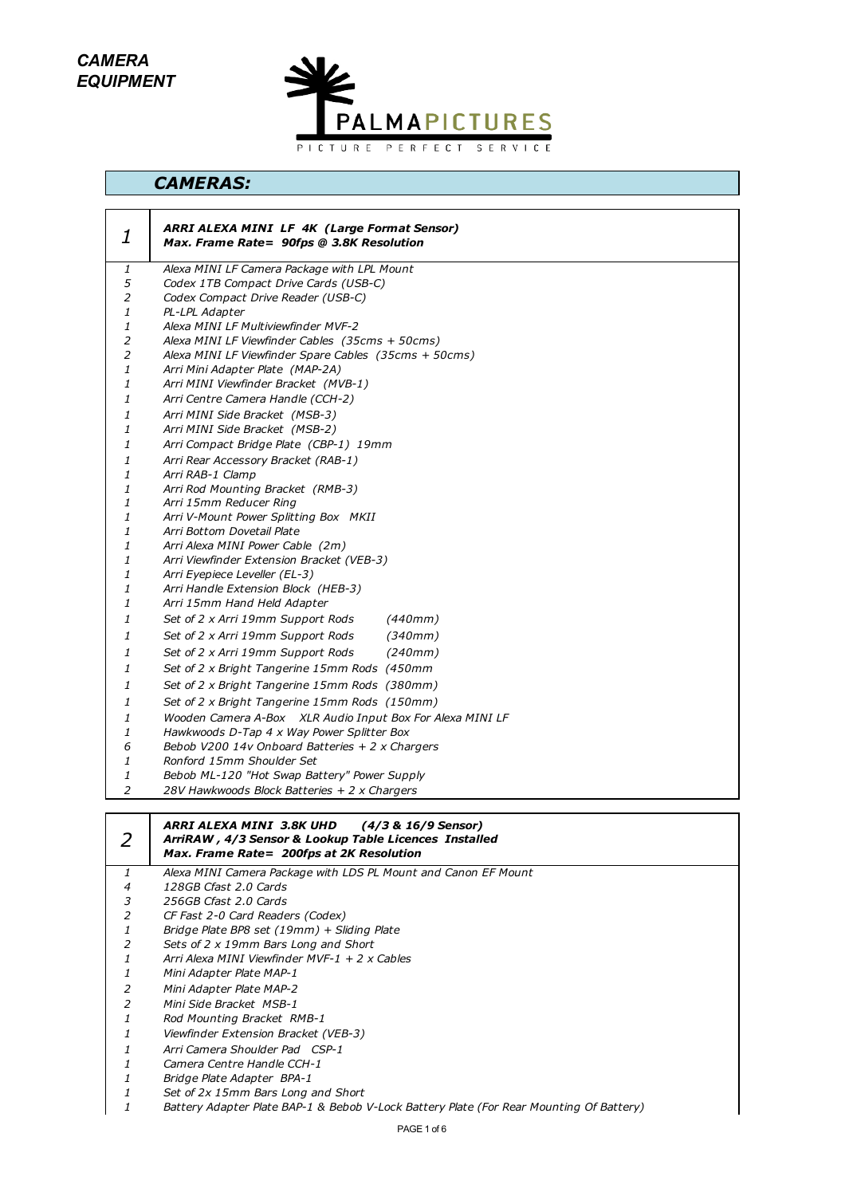*CAMERA EQUIPMENT*



# *CAMERAS:*

| 1      | <b>ARRI ALEXA MINI LF 4K (Large Format Sensor)</b><br>Max. Frame Rate= 90fps @ 3.8K Resolution          |
|--------|---------------------------------------------------------------------------------------------------------|
| 1      | Alexa MINI LF Camera Package with LPL Mount                                                             |
| 5      | Codex 1TB Compact Drive Cards (USB-C)                                                                   |
| 2      | Codex Compact Drive Reader (USB-C)                                                                      |
| 1      | PL-LPL Adapter                                                                                          |
| 1<br>2 | Alexa MINI LF Multiviewfinder MVF-2<br>Alexa MINI LF Viewfinder Cables (35cms + 50cms)                  |
| 2      | Alexa MINI LF Viewfinder Spare Cables (35cms + 50cms)                                                   |
| 1      | Arri Mini Adapter Plate (MAP-2A)                                                                        |
| 1      | Arri MINI Viewfinder Bracket (MVB-1)                                                                    |
| 1      | Arri Centre Camera Handle (CCH-2)                                                                       |
| 1      | Arri MINI Side Bracket (MSB-3)                                                                          |
| 1      | Arri MINI Side Bracket (MSB-2)                                                                          |
| 1      | Arri Compact Bridge Plate (CBP-1) 19mm                                                                  |
| 1      | Arri Rear Accessory Bracket (RAB-1)                                                                     |
| 1      | Arri RAB-1 Clamp                                                                                        |
| 1      | Arri Rod Mounting Bracket (RMB-3)                                                                       |
| 1      | Arri 15mm Reducer Ring                                                                                  |
| 1      | Arri V-Mount Power Splitting Box MKII                                                                   |
| 1      | Arri Bottom Dovetail Plate                                                                              |
| 1      | Arri Alexa MINI Power Cable (2m)                                                                        |
| 1      | Arri Viewfinder Extension Bracket (VEB-3)                                                               |
| 1      | Arri Eyepiece Leveller (EL-3)                                                                           |
| 1<br>1 | Arri Handle Extension Block (HEB-3)<br>Arri 15mm Hand Held Adapter                                      |
| 1      | Set of 2 x Arri 19mm Support Rods<br>(440mm)                                                            |
| 1      | Set of 2 x Arri 19mm Support Rods<br>(340mm)                                                            |
| 1      | Set of 2 x Arri 19mm Support Rods<br>(240mm)                                                            |
| 1      | Set of 2 x Bright Tangerine 15mm Rods (450mm                                                            |
| 1      | Set of 2 x Bright Tangerine 15mm Rods (380mm)                                                           |
|        | Set of 2 x Bright Tangerine 15mm Rods (150mm)                                                           |
| 1      |                                                                                                         |
| 1<br>1 | Wooden Camera A-Box XLR Audio Input Box For Alexa MINI LF<br>Hawkwoods D-Tap 4 x Way Power Splitter Box |
| 6      | Bebob V200 14v Onboard Batteries + 2 x Chargers                                                         |
| 1      | Ronford 15mm Shoulder Set                                                                               |
| 1      | Bebob ML-120 "Hot Swap Battery" Power Supply                                                            |
| 2      | 28V Hawkwoods Block Batteries + 2 x Chargers                                                            |
|        |                                                                                                         |

|   | ARRI ALEXA MINI 3.8K UHD<br>(4/3 & 16/9 Sensor)<br>ArriRAW, 4/3 Sensor & Lookup Table Licences Installed<br>Max. Frame Rate= 200fps at 2K Resolution |
|---|------------------------------------------------------------------------------------------------------------------------------------------------------|
|   | Alexa MINI Camera Package with LDS PL Mount and Canon EF Mount                                                                                       |
| 4 | 128GB Cfast 2.0 Cards                                                                                                                                |
| 3 | 256GB Cfast 2.0 Cards                                                                                                                                |
|   | CF Fast 2-0 Card Readers (Codex)                                                                                                                     |
|   | Bridge Plate BP8 set (19mm) + Sliding Plate                                                                                                          |
| 2 | Sets of 2 x 19mm Bars Long and Short                                                                                                                 |
|   | Arri Alexa MINI Viewfinder MVF-1 + 2 x Cables                                                                                                        |
|   | Mini Adapter Plate MAP-1                                                                                                                             |
| 2 | Mini Adapter Plate MAP-2                                                                                                                             |
| 2 | Mini Side Bracket MSB-1                                                                                                                              |
|   | Rod Mounting Bracket RMB-1                                                                                                                           |
|   | Viewfinder Extension Bracket (VEB-3)                                                                                                                 |
|   | Arri Camera Shoulder Pad CSP-1                                                                                                                       |
|   | Camera Centre Handle CCH-1                                                                                                                           |
|   | Bridge Plate Adapter BPA-1                                                                                                                           |
|   | Set of 2x 15mm Bars Long and Short                                                                                                                   |
|   | Battery Adapter Plate BAP-1 & Bebob V-Lock Battery Plate (For Rear Mounting Of Battery)                                                              |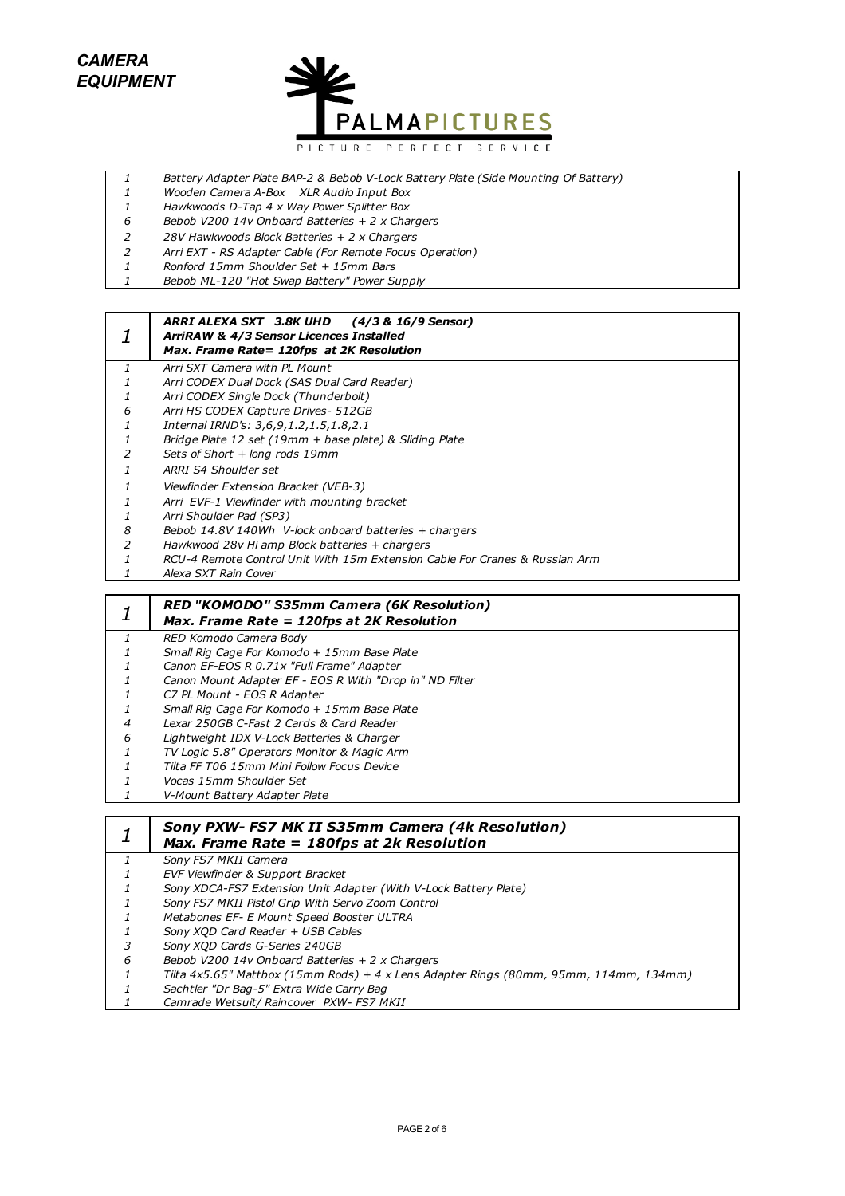

- *Battery Adapter Plate BAP-2 & Bebob V-Lock Battery Plate (Side Mounting Of Battery)*
- *Wooden Camera A-Box XLR Audio Input Box*
- *Hawkwoods D-Tap 4 x Way Power Splitter Box*
- *Bebob V200 14v Onboard Batteries + 2 x Chargers*
- *28V Hawkwoods Block Batteries + 2 x Chargers*
- *Arri EXT RS Adapter Cable (For Remote Focus Operation)*
- *Ronford 15mm Shoulder Set + 15mm Bars*
- *Bebob ML-120 "Hot Swap Battery" Power Supply*

#### *ARRI ALEXA SXT 3.8K UHD (4/3 & 16/9 Sensor) ArriRAW & 4/3 Sensor Licences Installed*

- *Max. Frame Rate= 120fps at 2K Resolution*
- *Arri SXT Camera with PL Mount*
- *Arri CODEX Dual Dock (SAS Dual Card Reader)*
- *Arri CODEX Single Dock (Thunderbolt)*
- *Arri HS CODEX Capture Drives- 512GB*
- *Internal IRND's: 3,6,9,1.2,1.5,1.8,2.1*
- *Bridge Plate 12 set (19mm + base plate) & Sliding Plate*
- *Sets of Short + long rods 19mm*
- *ARRI S4 Shoulder set*
- *Viewfinder Extension Bracket (VEB-3)*
- *Arri EVF-1 Viewfinder with mounting bracket*
- *Arri Shoulder Pad (SP3)*
- *Bebob 14.8V 140Wh V-lock onboard batteries + chargers*
- *Hawkwood 28v Hi amp Block batteries + chargers*
- *RCU-4 Remote Control Unit With 15m Extension Cable For Cranes & Russian Arm*
- *Alexa SXT Rain Cover*

|   | RED "KOMODO" S35mm Camera (6K Resolution)<br>Max. Frame Rate = 120fps at 2K Resolution |
|---|----------------------------------------------------------------------------------------|
|   | RED Komodo Camera Body                                                                 |
|   | Small Rig Cage For Komodo + 15mm Base Plate                                            |
|   | Canon EF-EOS R 0.71x "Full Frame" Adapter                                              |
|   | Canon Mount Adapter EF - EOS R With "Drop in" ND Filter                                |
|   | C7 PL Mount - EOS R Adapter                                                            |
|   | Small Rig Cage For Komodo + 15mm Base Plate                                            |
| 4 | Lexar 250GB C-Fast 2 Cards & Card Reader                                               |
| 6 | Lightweight IDX V-Lock Batteries & Charger                                             |
|   | TV Logic 5.8" Operators Monitor & Magic Arm                                            |
|   | Tilta FF T06 15mm Mini Follow Focus Device                                             |
|   | Vocas 15mm Shoulder Set                                                                |
|   | V-Mount Battery Adapter Plate                                                          |
|   |                                                                                        |
|   | Sony PXW- FS7 MK II S35mm Camera (4k Resolution)                                       |
|   | Max. Frame Rate = 180fps at 2k Resolution                                              |
|   | Sony FS7 MKII Camera                                                                   |
|   | EVF Viewfinder & Support Bracket                                                       |

- *Sony XDCA-FS7 Extension Unit Adapter (With V-Lock Battery Plate)*
- *Sony FS7 MKII Pistol Grip With Servo Zoom Control*
- *Metabones EF- E Mount Speed Booster ULTRA*
- *Sony XQD Card Reader + USB Cables*
- *Sony XQD Cards G-Series 240GB*
- *Bebob V200 14v Onboard Batteries + 2 x Chargers*
- *Tilta 4x5.65" Mattbox (15mm Rods) + 4 x Lens Adapter Rings (80mm, 95mm, 114mm, 134mm)*
- *Sachtler "Dr Bag-5" Extra Wide Carry Bag*
- *Camrade Wetsuit/ Raincover PXW- FS7 MKII*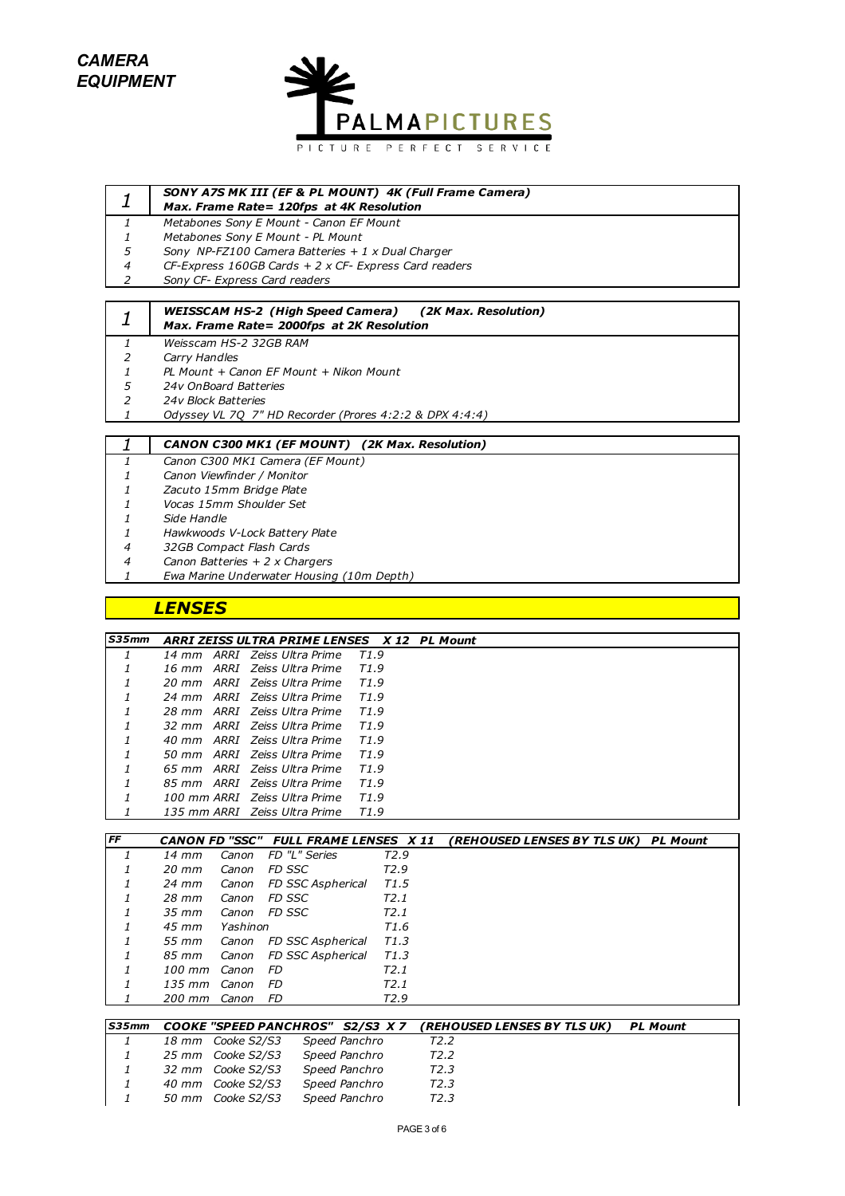*CAMERA EQUIPMENT*



| ┸ | <b>SONY A7S MK III (EF &amp; PL MOUNT) 4K (Full Frame Camera)</b><br>Max. Frame Rate= 120fps at 4K Resolution |
|---|---------------------------------------------------------------------------------------------------------------|
|   | Metabones Sony E Mount - Canon EF Mount                                                                       |
|   | Metabones Sony E Mount - PL Mount                                                                             |
| 5 | Sony NP-FZ100 Camera Batteries $+1$ x Dual Charger                                                            |
| 4 | CF-Express 160GB Cards $+ 2 \times CF$ - Express Card readers                                                 |
|   | Sony CF- Express Card readers                                                                                 |

|               | <b>WEISSCAM HS-2 (High Speed Camera) (2K Max. Resolution)</b><br>Max. Frame Rate= 2000fps at 2K Resolution |  |  |  |  |
|---------------|------------------------------------------------------------------------------------------------------------|--|--|--|--|
|               | Weisscam HS-2 32GB RAM                                                                                     |  |  |  |  |
| 2             | Carry Handles                                                                                              |  |  |  |  |
|               | PL Mount + Canon EF Mount + Nikon Mount                                                                    |  |  |  |  |
| 5             | 24v OnBoard Batteries                                                                                      |  |  |  |  |
| $\mathcal{P}$ | 24v Block Batteries                                                                                        |  |  |  |  |
|               | Odyssey VL 70 7" HD Recorder (Prores 4:2:2 & DPX 4:4:4)                                                    |  |  |  |  |
|               |                                                                                                            |  |  |  |  |
|               | <b>CANON C300 MK1 (EF MOUNT) (2K Max. Resolution)</b>                                                      |  |  |  |  |
|               | Canon C300 MK1 Camera (EF Mount)                                                                           |  |  |  |  |
|               | Canon Viewfinder / Monitor                                                                                 |  |  |  |  |

- 
- *Zacuto 15mm Bridge Plate Vocas 15mm Shoulder Set*
- *Side Handle*
- 
- *Hawkwoods V-Lock Battery Plate*
- *32GB Compact Flash Cards*
- *Canon Batteries + 2 x Chargers*
- *Ewa Marine Underwater Housing (10m Depth)*

# *LENSES*

| <b>S35mm</b> | ARRI ZEISS ULTRA PRIME LENSES X 12 PL Mount |                  |  |
|--------------|---------------------------------------------|------------------|--|
|              | 14 mm ARRI Zeiss Ultra Prime                | T1.9             |  |
| 1            | 16 mm ARRI Zeiss Ultra Prime                | T1.9             |  |
| $\mathcal I$ | 20 mm ARRI Zeiss Ultra Prime                | T1.9             |  |
|              | 24 mm ARRI Zejss Ultra Prime                | T1.9             |  |
| $\mathbf{1}$ | 28 mm ARRI Zeiss Ultra Prime                | T1.9             |  |
| $\mathcal I$ | 32 mm ARRI Zeiss Ultra Prime                | T1.9             |  |
|              | 40 mm ARRI Zejss Ultra Prime                | T1.9             |  |
|              | 50 mm ARRI Zeiss Ultra Prime                | T1.9             |  |
| $\mathbf{1}$ | 65 mm ARRI Zeiss Ultra Prime                | T <sub>1.9</sub> |  |
|              | 85 mm ARRI Zeiss Ultra Prime                | T1.9             |  |
|              | 100 mm ARRI Zeiss Ultra Prime               | T <sub>1.9</sub> |  |
|              | 135 mm ARRI - Zeiss Ultra Prime             | T1.9             |  |

| <b>IFF</b>    |                   |          | <b>CANON FD "SSC" FULL FRAME LENSES X 11</b> |                  | (REHOUSED LENSES BY TLS UK)<br><b>PL Mount</b> |
|---------------|-------------------|----------|----------------------------------------------|------------------|------------------------------------------------|
| $\mathcal{I}$ | 14 mm             |          | Canon FD "L" Series                          | T <sub>2.9</sub> |                                                |
|               | $20 \, \text{mm}$ | Canon    | FD SSC                                       | T <sub>2.9</sub> |                                                |
| 1             | 24 mm             |          | Canon FD SSC Aspherical                      | T1.5             |                                                |
| 1             | 28 mm             | Canon    | FD SSC                                       | T2.1             |                                                |
|               | 35 mm             |          | Canon FD SSC                                 | T2.1             |                                                |
|               | 45 mm             | Yashinon |                                              | T1.6             |                                                |
| 1             |                   |          | 55 mm Canon FD SSC Aspherical                | T1.3             |                                                |
| 1             |                   |          | 85 mm Canon FD SSC Aspherical                | T1.3             |                                                |
|               | 100 mm Canon      |          | - FD                                         | T2.1             |                                                |
|               | 135 mm Canon      |          | - FD                                         | T <sub>2.1</sub> |                                                |
|               | 200 mm Canon      |          | - FD                                         | T <sub>2.9</sub> |                                                |

| <b>S35mm</b> |                   | <b>COOKE "SPEED PANCHROS" S2/S3 X 7</b> | <i><b>(REHOUSED LENSES BY TLS UK)</b></i> | <b>PL Mount</b> |
|--------------|-------------------|-----------------------------------------|-------------------------------------------|-----------------|
|              | 18 mm Cooke S2/S3 | Speed Panchro                           | T <sub>2</sub> .2                         |                 |
|              | 25 mm Cooke S2/S3 | Speed Panchro                           | T <sub>2</sub> .2                         |                 |
| 1            | 32 mm Cooke S2/S3 | Speed Panchro                           | T2.3                                      |                 |
|              | 40 mm Cooke S2/S3 | Speed Panchro                           | T2.3                                      |                 |
| $\mathbf{1}$ | 50 mm Cooke S2/S3 | Speed Panchro                           | T2.3                                      |                 |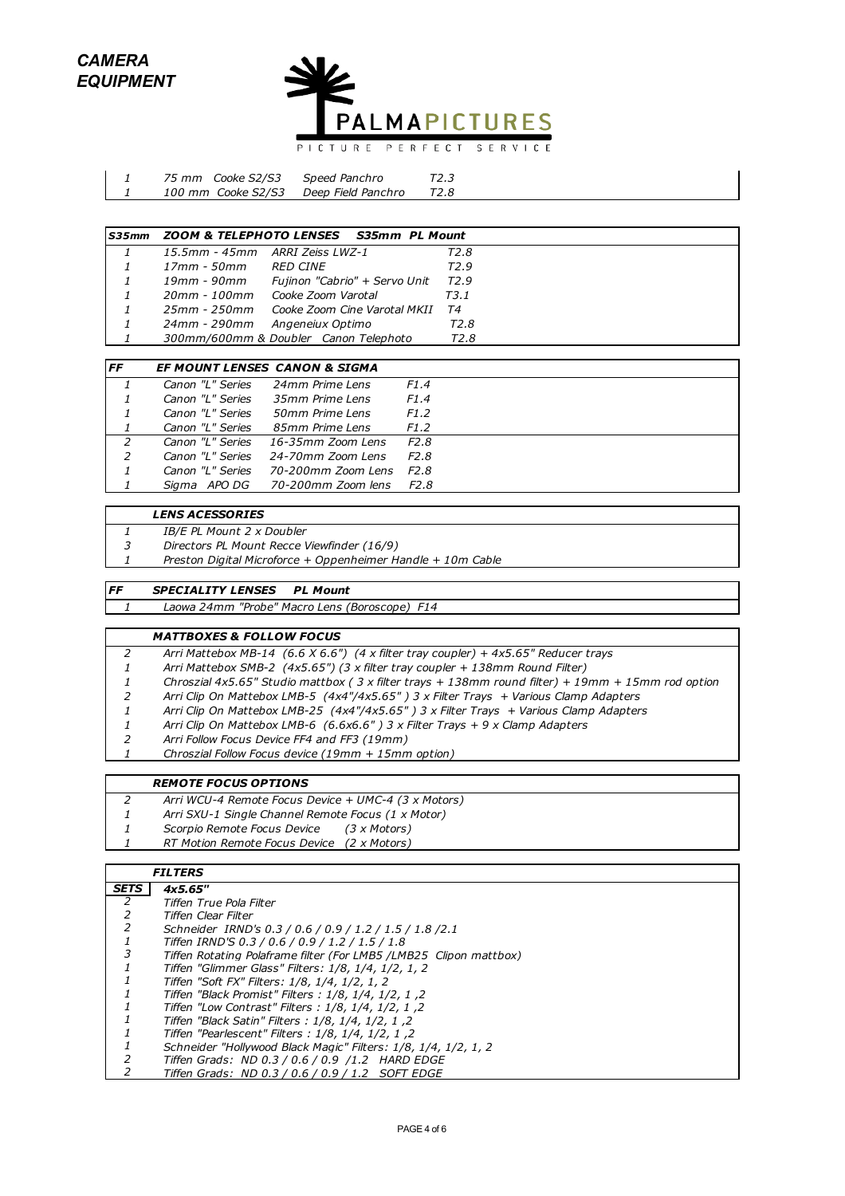

| 75 mm Cooke S2/S3  | Speed Panchro      | T2.3 |
|--------------------|--------------------|------|
| 100 mm Cooke S2/S3 | Deep Field Panchro | T2.8 |

| S35mm |              | ZOOM & TELEPHOTO LENSES S35mm PL Mount    |                  |  |
|-------|--------------|-------------------------------------------|------------------|--|
|       |              | 15.5mm - 45mm ARRI Zeiss LWZ-1            | T2.8             |  |
|       | 17mm - 50mm  | RED CINE                                  | T <sub>2.9</sub> |  |
|       | 19mm - 90mm  | Fujinon "Cabrio" + Servo Unit             | T <sub>2.9</sub> |  |
| 1     |              | 20mm - 100mm Cooke Zoom Varotal           | T3.1             |  |
|       |              | 25mm - 250mm Cooke Zoom Cine Varotal MKII | T4               |  |
|       | 24mm - 290mm | Angeneiux Optimo                          | T2.8             |  |
|       |              | 300mm/600mm & Doubler Canon Telephoto     | T <sub>2.8</sub> |  |

| <b>FF</b>     |                  | <b>EF MOUNT LENSES CANON &amp; SIGMA</b> |                   |
|---------------|------------------|------------------------------------------|-------------------|
|               | Canon "L" Series | 24mm Prime Lens                          | F <sub>1.4</sub>  |
|               | Canon "L" Series | 35mm Prime Lens                          | F1.4              |
|               | Canon "L" Series | 50mm Prime Lens                          | F <sub>1</sub> .2 |
|               | Canon "L" Series | 85mm Prime Lens                          | F1.2              |
| $\mathcal{L}$ | Canon "L" Series | 16-35mm Zoom Lens                        | F <sub>2.8</sub>  |
| $\mathcal{L}$ | Canon "L" Series | 24-70mm Zoom Lens                        | F2.8              |
|               | Canon "L" Series | 70-200mm Zoom Lens                       | F2.8              |
|               | APO DG<br>Siama  | 70-200mm Zoom lens                       | F2.8              |

#### *LENS ACESSORIES*

- *IB/E PL Mount 2 x Doubler*
- *Directors PL Mount Recce Viewfinder (16/9)*
- *Preston Digital Microforce + Oppenheimer Handle + 10m Cable*

### *FF SPECIALITY LENSES PL Mount*

*Laowa 24mm "Probe" Macro Lens (Boroscope) F14*

#### *MATTBOXES & FOLLOW FOCUS*

- *Arri Mattebox MB-14 (6.6 X 6.6") (4 x filter tray coupler) + 4x5.65" Reducer trays*
- *Arri Mattebox SMB-2 (4x5.65") (3 x filter tray coupler + 138mm Round Filter)*
- *Chroszial 4x5.65" Studio mattbox ( 3 x filter trays + 138mm round filter) + 19mm + 15mm rod option*
- *Arri Clip On Mattebox LMB-5 (4x4"/4x5.65" ) 3 x Filter Trays + Various Clamp Adapters*
- *Arri Clip On Mattebox LMB-25 (4x4"/4x5.65" ) 3 x Filter Trays + Various Clamp Adapters*
- *Arri Clip On Mattebox LMB-6 (6.6x6.6" ) 3 x Filter Trays + 9 x Clamp Adapters*
- *Arri Follow Focus Device FF4 and FF3 (19mm)*
- *Chroszial Follow Focus device (19mm + 15mm option)*

### *REMOTE FOCUS OPTIONS*

- *Arri WCU-4 Remote Focus Device + UMC-4 (3 x Motors)*
- *Arri SXU-1 Single Channel Remote Focus (1 x Motor)*
- *Scorpio Remote Focus Device (3 x Motors)*
- *RT Motion Remote Focus Device (2 x Motors)*

## *FILTERS*

| <b>SETS</b> | 4x5.65"                                                           |
|-------------|-------------------------------------------------------------------|
| 2           | Tiffen True Pola Filter                                           |
| 2           | Tiffen Clear Filter                                               |
|             | Schneider IRND's 0.3 / 0.6 / 0.9 / 1.2 / 1.5 / 1.8 / 2.1          |
|             | Tiffen IRND'S 0.3 / 0.6 / 0.9 / 1.2 / 1.5 / 1.8                   |
| 3           | Tiffen Rotating Polaframe filter (For LMB5 /LMB25 Clipon mattbox) |
|             | Tiffen "Glimmer Glass" Filters: 1/8, 1/4, 1/2, 1, 2               |
|             | Tiffen "Soft FX" Filters: 1/8, 1/4, 1/2, 1, 2                     |
|             | 7. Tiffen "Black Promist" Filters : 1/8, 1/4, 1/2, 1              |
|             | 7, 1, 1/2, 1/4, 1/2 : Tiffen "Low Contrast" Filters               |
|             | 7. Tiffen "Black Satin" Filters : 1/8, 1/4, 1/2, 1                |
|             | Tiffen "Pearlescent" Filters: 1/8, 1/4, 1/2, 1, 2                 |
|             | Schneider "Hollywood Black Magic" Filters: 1/8, 1/4, 1/2, 1, 2    |
|             | Tiffen Grads: ND 0.3 / 0.6 / 0.9 /1.2 HARD EDGE                   |
|             | Tiffen Grads: ND 0.3 / 0.6 / 0.9 / 1.2 SOFT EDGE                  |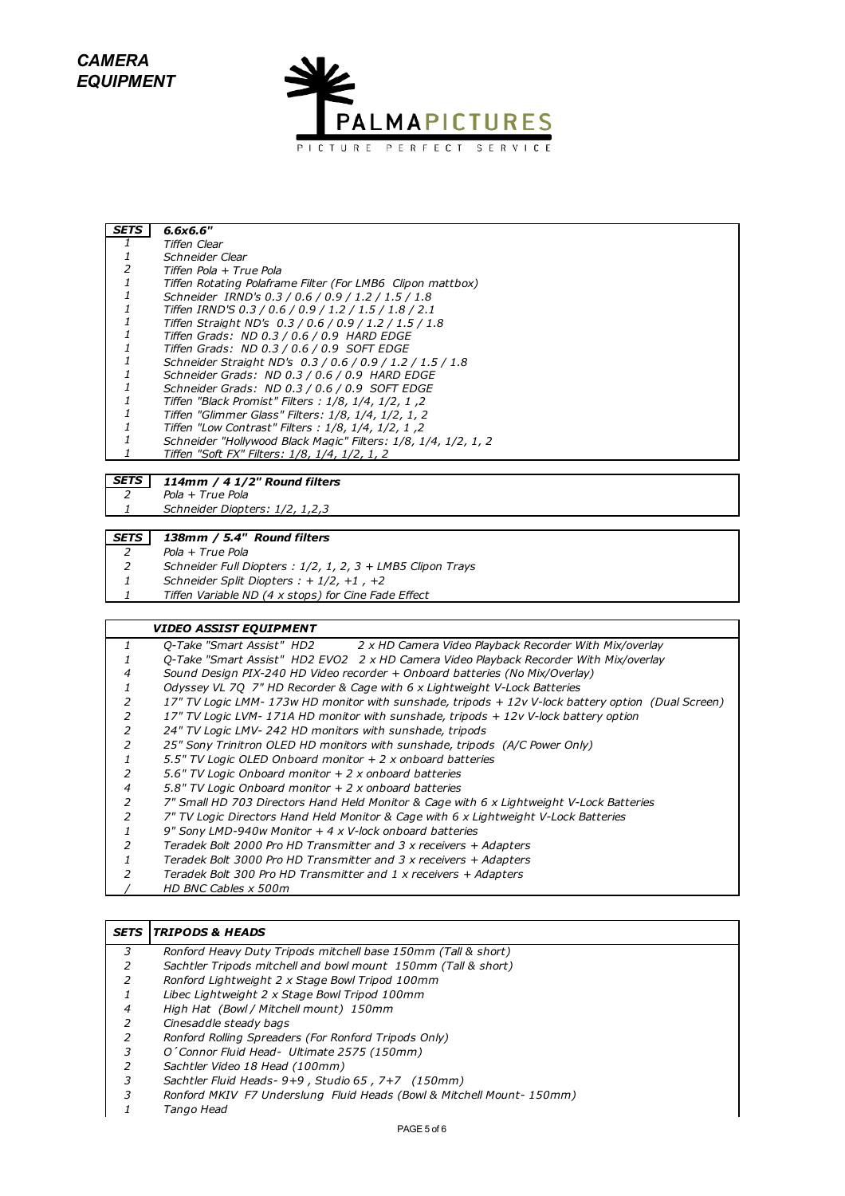*CAMERA EQUIPMENT*



| <b>SETS</b> | 6.6x6.6"                                                       |
|-------------|----------------------------------------------------------------|
|             | Tiffen Clear                                                   |
|             | Schneider Clear                                                |
|             | Tiffen Pola + True Pola                                        |
|             | Tiffen Rotating Polaframe Filter (For LMB6 Clipon mattbox)     |
|             | Schneider IRND's 0.3 / 0.6 / 0.9 / 1.2 / 1.5 / 1.8             |
|             | Tiffen IRND'S 0.3 / 0.6 / 0.9 / 1.2 / 1.5 / 1.8 / 2.1          |
|             | Tiffen Straight ND's 0.3 / 0.6 / 0.9 / 1.2 / 1.5 / 1.8         |
|             | Tiffen Grads: ND 0.3 / 0.6 / 0.9 HARD EDGE                     |
|             | Tiffen Grads: ND 0.3 / 0.6 / 0.9 SOFT EDGE                     |
|             | Schneider Straight ND's 0.3 / 0.6 / 0.9 / 1.2 / 1.5 / 1.8      |
|             | Schneider Grads: ND 0.3 / 0.6 / 0.9 HARD EDGE                  |
|             | Schneider Grads: ND 0.3 / 0.6 / 0.9 SOFT EDGE                  |
|             | 2, 1, 1/2, 1/4 .1/2 : Tiffen "Black Promist" Filters           |
|             | Tiffen "Glimmer Glass" Filters: 1/8, 1/4, 1/2, 1, 2            |
|             | Tiffen "Low Contrast" Filters: 1/8, 1/4, 1/2, 1, 2             |
|             | Schneider "Hollywood Black Magic" Filters: 1/8, 1/4, 1/2, 1, 2 |
|             | Tiffen "Soft FX" Filters: 1/8, 1/4, 1/2, 1, 2                  |
|             |                                                                |
| CETC        |                                                                |

### *SETS 114mm / 4 1/2" Round filters Pola + True Pola*

*Schneider Diopters: 1/2, 1,2,3*

### *SETS 138mm / 5.4" Round filters*

- *Pola + True Pola*
- *Schneider Full Diopters : 1/2, 1, 2, 3 + LMB5 Clipon Trays*
- *Schneider Split Diopters : + 1/2, +1 , +2*
- *Tiffen Variable ND (4 x stops) for Cine Fade Effect*

### *VIDEO ASSIST EQUIPMENT*

|   | O-Take "Smart Assist" HD2 2 x HD Camera Video Playback Recorder With Mix/overlay                 |
|---|--------------------------------------------------------------------------------------------------|
|   | O-Take "Smart Assist" HD2 EVO2 2 x HD Camera Video Playback Recorder With Mix/overlay            |
| 4 | Sound Design PIX-240 HD Video recorder + Onboard batteries (No Mix/Overlay)                      |
|   | Odyssey VL 70 7" HD Recorder & Cage with 6 x Lightweight V-Lock Batteries                        |
|   | 17" TV Logic LMM-173w HD monitor with sunshade, tripods +12v V-lock battery option (Dual Screen) |
|   | 17" TV Logic LVM-171A HD monitor with sunshade, tripods +12v V-lock battery option               |
|   | 24" TV Logic LMV-242 HD monitors with sunshade, tripods                                          |
|   | 25" Sony Trinitron OLED HD monitors with sunshade, tripods (A/C Power Only)                      |
|   | 5.5" TV Logic OLED Onboard monitor + 2 x onboard batteries                                       |
|   | 5.6" TV Logic Onboard monitor $+2x$ onboard batteries                                            |
| 4 | 5.8" TV Logic Onboard monitor $+2x$ onboard batteries                                            |
|   | 7" Small HD 703 Directors Hand Held Monitor & Cage with 6 x Lightweight V-Lock Batteries         |
|   | 7" TV Logic Directors Hand Held Monitor & Cage with 6 x Lightweight V-Lock Batteries             |
|   | 9" Sony LMD-940w Monitor $+4 \times V$ -lock onboard batteries                                   |
|   | Teradek Bolt 2000 Pro HD Transmitter and 3 x receivers + Adapters                                |
|   | Teradek Bolt 3000 Pro HD Transmitter and 3 x receivers + Adapters                                |
|   | Teradek Bolt 300 Pro HD Transmitter and 1 x receivers + Adapters                                 |
|   | HD BNC Cables x 500m                                                                             |

### *SETS TRIPODS & HEADS*

- *Ronford Heavy Duty Tripods mitchell base 150mm (Tall & short)*
- *Sachtler Tripods mitchell and bowl mount 150mm (Tall & short)*
- *Ronford Lightweight 2 x Stage Bowl Tripod 100mm*
- *Libec Lightweight 2 x Stage Bowl Tripod 100mm*
- *High Hat (Bowl / Mitchell mount) 150mm*
- *Cinesaddle steady bags*
- *Ronford Rolling Spreaders (For Ronford Tripods Only)*
- *O´Connor Fluid Head- Ultimate 2575 (150mm)*
- *Sachtler Video 18 Head (100mm)*
- *Sachtler Fluid Heads- 9+9 , Studio 65 , 7+7 (150mm)*
- *Ronford MKIV F7 Underslung Fluid Heads (Bowl & Mitchell Mount- 150mm)*
- *Tango Head*